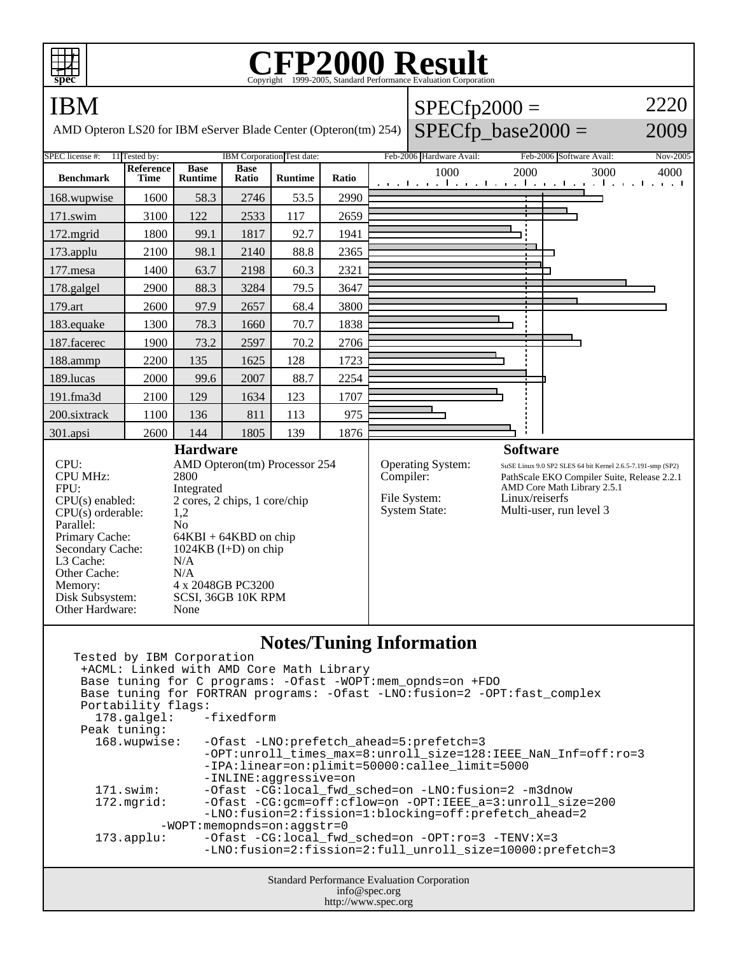

## C<sub>opyright</sub> ©1999-2005, Standard Performance Evaluation Corporation

| <b>IBM</b><br>AMD Opteron LS20 for IBM eServer Blade Center (Opteron(tm) 254)                                                                                                                                                                                                                                                                                                                                                                            |                                 |                               |                      |                                          |           |                                                                  | $SPECfp2000 =$<br>$SPECfp$ base2000 =                                                                                                                                                                     |          | 2220<br>2009                                                  |  |
|----------------------------------------------------------------------------------------------------------------------------------------------------------------------------------------------------------------------------------------------------------------------------------------------------------------------------------------------------------------------------------------------------------------------------------------------------------|---------------------------------|-------------------------------|----------------------|------------------------------------------|-----------|------------------------------------------------------------------|-----------------------------------------------------------------------------------------------------------------------------------------------------------------------------------------------------------|----------|---------------------------------------------------------------|--|
| SPEC license #:                                                                                                                                                                                                                                                                                                                                                                                                                                          | 11 Tested by:                   |                               |                      | <b>IBM</b> Corporation Test date:        |           | Feb-2006 Hardware Avail:                                         | Feb-2006 Software Avail:                                                                                                                                                                                  | Nov-2005 |                                                               |  |
| <b>Benchmark</b>                                                                                                                                                                                                                                                                                                                                                                                                                                         | <b>Reference</b><br><b>Time</b> | <b>Base</b><br><b>Runtime</b> | <b>Base</b><br>Ratio | <b>Runtime</b>                           | Ratio     |                                                                  | 1000                                                                                                                                                                                                      | 2000     | 3000<br>4000<br>التوجيا وتوكل كوجا وتوكل كوجا وتوكل كوجا وتوج |  |
| 168.wupwise                                                                                                                                                                                                                                                                                                                                                                                                                                              | 1600                            | 58.3                          | 2746                 | 53.5                                     | 2990      |                                                                  |                                                                                                                                                                                                           |          |                                                               |  |
| 171.swim                                                                                                                                                                                                                                                                                                                                                                                                                                                 | 3100                            | 122                           | 2533                 | 117                                      | 2659      |                                                                  |                                                                                                                                                                                                           |          |                                                               |  |
| 172.mgrid                                                                                                                                                                                                                                                                                                                                                                                                                                                | 1800                            | 99.1                          | 1817                 | 92.7                                     | 1941      |                                                                  |                                                                                                                                                                                                           |          |                                                               |  |
| 173.applu                                                                                                                                                                                                                                                                                                                                                                                                                                                | 2100                            | 98.1                          | 2140                 | 88.8                                     | 2365      |                                                                  |                                                                                                                                                                                                           |          |                                                               |  |
| 177.mesa                                                                                                                                                                                                                                                                                                                                                                                                                                                 | 1400                            | 63.7                          | 2198                 | 60.3                                     | 2321      |                                                                  |                                                                                                                                                                                                           |          |                                                               |  |
| 178.galgel                                                                                                                                                                                                                                                                                                                                                                                                                                               | 2900                            | 88.3                          | 3284                 | 79.5                                     | 3647      |                                                                  |                                                                                                                                                                                                           |          |                                                               |  |
| 179.art                                                                                                                                                                                                                                                                                                                                                                                                                                                  | 2600                            | 97.9                          | 2657                 | 68.4                                     | 3800      |                                                                  |                                                                                                                                                                                                           |          |                                                               |  |
| 183.equake                                                                                                                                                                                                                                                                                                                                                                                                                                               | 1300                            | 78.3                          | 1660                 | 70.7                                     | 1838      |                                                                  |                                                                                                                                                                                                           |          |                                                               |  |
| 187.facerec                                                                                                                                                                                                                                                                                                                                                                                                                                              | 1900                            | 73.2                          | 2597                 | 70.2                                     | 2706      |                                                                  |                                                                                                                                                                                                           |          |                                                               |  |
| 188.ammp                                                                                                                                                                                                                                                                                                                                                                                                                                                 | 2200                            | 135                           | 1625                 | 128                                      | 1723      |                                                                  |                                                                                                                                                                                                           |          |                                                               |  |
| 189.lucas                                                                                                                                                                                                                                                                                                                                                                                                                                                | 2000                            | 99.6                          | 2007                 | 88.7                                     | 2254      |                                                                  |                                                                                                                                                                                                           |          |                                                               |  |
| 191.fma3d                                                                                                                                                                                                                                                                                                                                                                                                                                                | 2100                            | 129                           | 1634                 | 123                                      | 1707      |                                                                  |                                                                                                                                                                                                           |          |                                                               |  |
| 200.sixtrack                                                                                                                                                                                                                                                                                                                                                                                                                                             | 1100                            | 136                           | 811                  | 113                                      | 975       |                                                                  |                                                                                                                                                                                                           |          |                                                               |  |
| 301.apsi                                                                                                                                                                                                                                                                                                                                                                                                                                                 | 2600                            | 144                           | 1805                 | 139                                      | 1876      |                                                                  |                                                                                                                                                                                                           |          |                                                               |  |
| <b>Hardware</b><br>CPU:<br>AMD Opteron(tm) Processor 254<br><b>CPU MHz:</b><br>2800<br>FPU:<br>Integrated<br>2 cores, 2 chips, 1 core/chip<br>$CPU(s)$ enabled:<br>CPU(s) orderable:<br>1,2<br>Parallel:<br>No<br>Primary Cache:<br>$64KBI + 64KBD$ on chip<br>Secondary Cache:<br>1024KB $(I+D)$ on chip<br>L3 Cache:<br>N/A<br>Other Cache:<br>N/A<br>4 x 2048GB PC3200<br>Memory:<br>Disk Subsystem:<br>SCSI, 36GB 10K RPM<br>Other Hardware:<br>None |                                 |                               |                      |                                          | Compiler: | <b>Operating System:</b><br>File System:<br><b>System State:</b> | <b>Software</b><br>SuSE Linux 9.0 SP2 SLES 64 bit Kernel 2.6.5-7.191-smp (SP2)<br>PathScale EKO Compiler Suite, Release 2.2.1<br>AMD Core Math Library 2.5.1<br>Linux/reiserfs<br>Multi-user, run level 3 |          |                                                               |  |
| Tested by IBM Corporation                                                                                                                                                                                                                                                                                                                                                                                                                                |                                 |                               |                      | +ACML: Linked with AMD Core Math Library |           |                                                                  | <b>Notes/Tuning Information</b><br>Base tuning for C programs: Ofast MODT:mom oppdator (FDO                                                                                                               |          |                                                               |  |

 Base tuning for C programs: -Ofast -WOPT:mem\_opnds=on +FDO Base tuning for FORTRAN programs: -Ofast -LNO:fusion=2 -OPT:fast\_complex Portability flags: 178.galgel: -fixedform Peak tuning:<br>168.wupwise: -Ofast -LNO:prefetch\_ahead=5:prefetch=3 -OPT:unroll\_times\_max=8:unroll\_size=128:IEEE\_NaN\_Inf=off:ro=3 -IPA:linear=on:plimit=50000:callee\_limit=5000 -INLINE:aggressive=on 171.swim: -Ofast -CG:local\_fwd\_sched=on -LNO:fusion=2 -m3dnow<br>172.mgrid: -Ofast -CG:gcm=off:cflow=on -OPT:IEEE\_a=3:unroll\_si -Ofast -CG:gcm=off:cflow=on -OPT:IEEE\_a=3:unroll\_size=200 -LNO:fusion=2:fission=1:blocking=off:prefetch\_ahead=2 -WOPT:memopnds=on:aggstr=0 173.applu: -Ofast -CG:local\_fwd\_sched=on -OPT:ro=3 -TENV:X=3 -LNO:fusion=2:fission=2:full\_unroll\_size=10000:prefetch=3

Standard Performance Evaluation Corporation info@spec.org http://www.spec.org